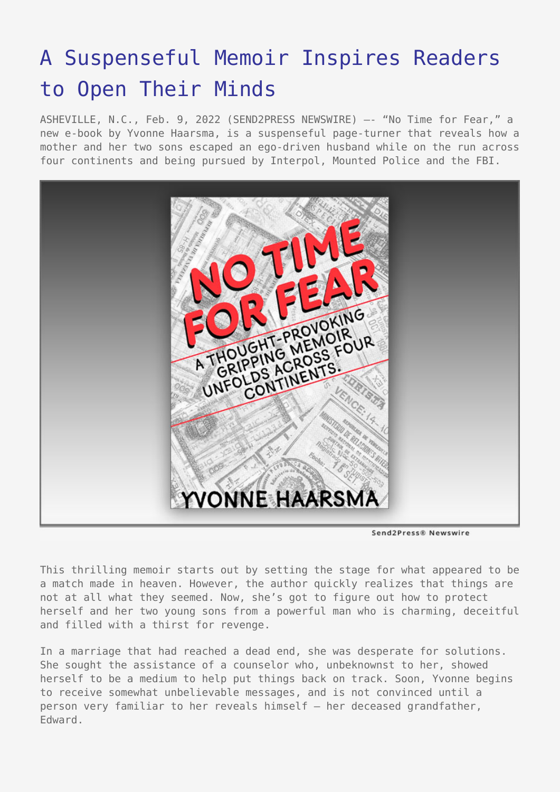## [A Suspenseful Memoir Inspires Readers](https://www.send2press.com/wire/a-suspenseful-memoir-inspires-readers-to-open-their-minds/) [to Open Their Minds](https://www.send2press.com/wire/a-suspenseful-memoir-inspires-readers-to-open-their-minds/)

ASHEVILLE, N.C., Feb. 9, 2022 (SEND2PRESS NEWSWIRE) –- "No Time for Fear," a new e-book by Yvonne Haarsma, is a suspenseful page-turner that reveals how a mother and her two sons escaped an ego-driven husband while on the run across four continents and being pursued by Interpol, Mounted Police and the FBI.



Send2Press® Newswire

This thrilling memoir starts out by setting the stage for what appeared to be a match made in heaven. However, the author quickly realizes that things are not at all what they seemed. Now, she's got to figure out how to protect herself and her two young sons from a powerful man who is charming, deceitful and filled with a thirst for revenge.

In a marriage that had reached a dead end, she was desperate for solutions. She sought the assistance of a counselor who, unbeknownst to her, showed herself to be a medium to help put things back on track. Soon, Yvonne begins to receive somewhat unbelievable messages, and is not convinced until a person very familiar to her reveals himself – her deceased grandfather, Edward.